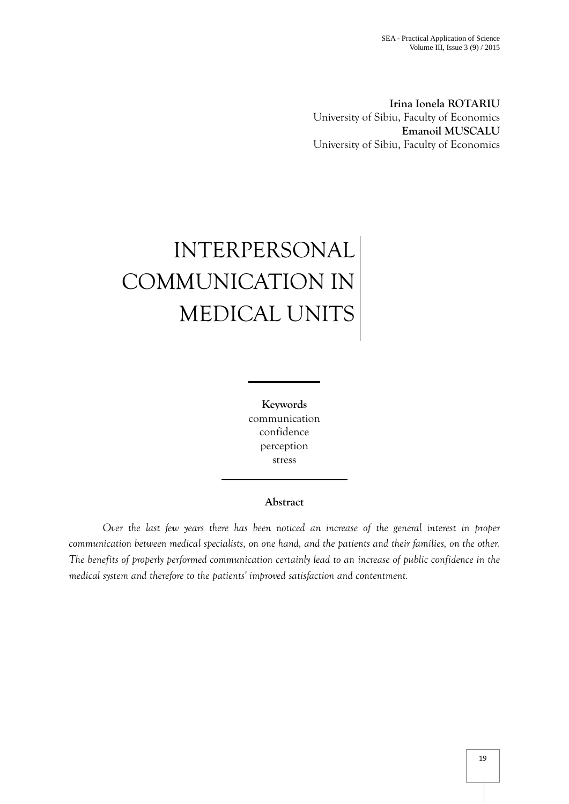**Irina Ionela ROTARIU** University of Sibiu, Faculty of Economics **Emanoil MUSCALU** University of Sibiu, Faculty of Economics

# INTERPERSONAL COMMUNICATION IN MEDICAL UNITS

**Keywords** communication confidence perception stress

## **Abstract**

*Over the last few years there has been noticed an increase of the general interest in proper communication between medical specialists, on one hand, and the patients and their families, on the other. The benefits of properly performed communication certainly lead to an increase of public confidence in the medical system and therefore to the patients' improved satisfaction and contentment.*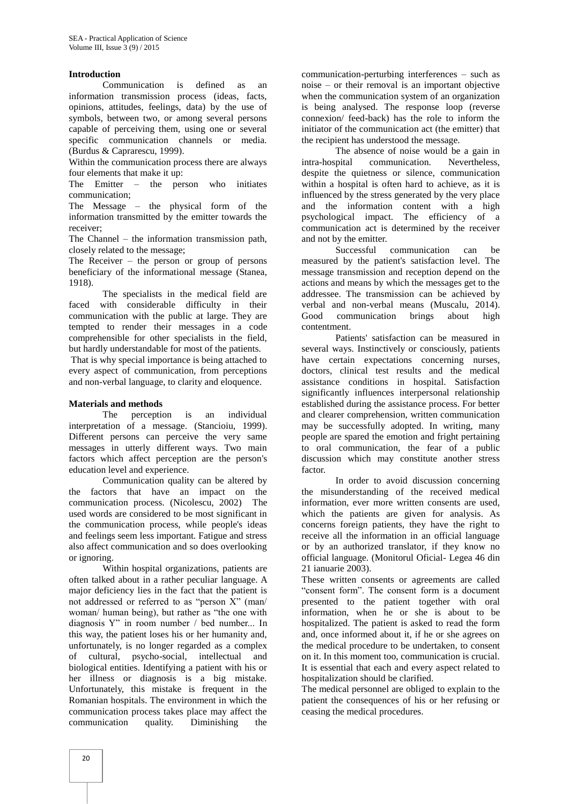#### **Introduction**

Communication is defined as an information transmission process (ideas, facts, opinions, attitudes, feelings, data) by the use of symbols, between two, or among several persons capable of perceiving them, using one or several specific communication channels or media. (Burdus & Caprarescu, 1999).

Within the communication process there are always four elements that make it up:

The Emitter – the person who initiates communication;

The Message – the physical form of the information transmitted by the emitter towards the receiver;

The Channel – the information transmission path, closely related to the message;

The Receiver – the person or group of persons beneficiary of the informational message (Stanea, 1918).

The specialists in the medical field are faced with considerable difficulty in their communication with the public at large. They are tempted to render their messages in a code comprehensible for other specialists in the field, but hardly understandable for most of the patients.

That is why special importance is being attached to every aspect of communication, from perceptions and non-verbal language, to clarity and eloquence.

#### **Materials and methods**

The perception is an individual interpretation of a message. (Stancioiu, 1999). Different persons can perceive the very same messages in utterly different ways. Two main factors which affect perception are the person's education level and experience.

Communication quality can be altered by the factors that have an impact on the communication process. (Nicolescu, 2002) The used words are considered to be most significant in the communication process, while people's ideas and feelings seem less important. Fatigue and stress also affect communication and so does overlooking or ignoring.

Within hospital organizations, patients are often talked about in a rather peculiar language. A major deficiency lies in the fact that the patient is not addressed or referred to as "person X" (man/ woman/ human being), but rather as "the one with diagnosis Y" in room number / bed number... In this way, the patient loses his or her humanity and, unfortunately, is no longer regarded as a complex of cultural, psycho-social, intellectual and biological entities. Identifying a patient with his or her illness or diagnosis is a big mistake. Unfortunately, this mistake is frequent in the Romanian hospitals. The environment in which the communication process takes place may affect the communication quality. Diminishing the

communication-perturbing interferences – such as noise – or their removal is an important objective when the communication system of an organization is being analysed. The response loop (reverse connexion/ feed-back) has the role to inform the initiator of the communication act (the emitter) that the recipient has understood the message.

The absence of noise would be a gain in intra-hospital communication. Nevertheless, despite the quietness or silence, communication within a hospital is often hard to achieve, as it is influenced by the stress generated by the very place and the information content with a high psychological impact. The efficiency of a communication act is determined by the receiver and not by the emitter.

Successful communication can be measured by the patient's satisfaction level. The message transmission and reception depend on the actions and means by which the messages get to the addressee. The transmission can be achieved by verbal and non-verbal means (Muscalu, 2014). Good communication brings about high contentment.

Patients' satisfaction can be measured in several ways. Instinctively or consciously, patients have certain expectations concerning nurses, doctors, clinical test results and the medical assistance conditions in hospital. Satisfaction significantly influences interpersonal relationship established during the assistance process. For better and clearer comprehension, written communication may be successfully adopted. In writing, many people are spared the emotion and fright pertaining to oral communication, the fear of a public discussion which may constitute another stress factor.

In order to avoid discussion concerning the misunderstanding of the received medical information, ever more written consents are used, which the patients are given for analysis. As concerns foreign patients, they have the right to receive all the information in an official language or by an authorized translator, if they know no official language. (Monitorul Oficial- Legea 46 din 21 ianuarie 2003).

These written consents or agreements are called "consent form". The consent form is a document presented to the patient together with oral information, when he or she is about to be hospitalized. The patient is asked to read the form and, once informed about it, if he or she agrees on the medical procedure to be undertaken, to consent on it. In this moment too, communication is crucial. It is essential that each and every aspect related to hospitalization should be clarified.

The medical personnel are obliged to explain to the patient the consequences of his or her refusing or ceasing the medical procedures.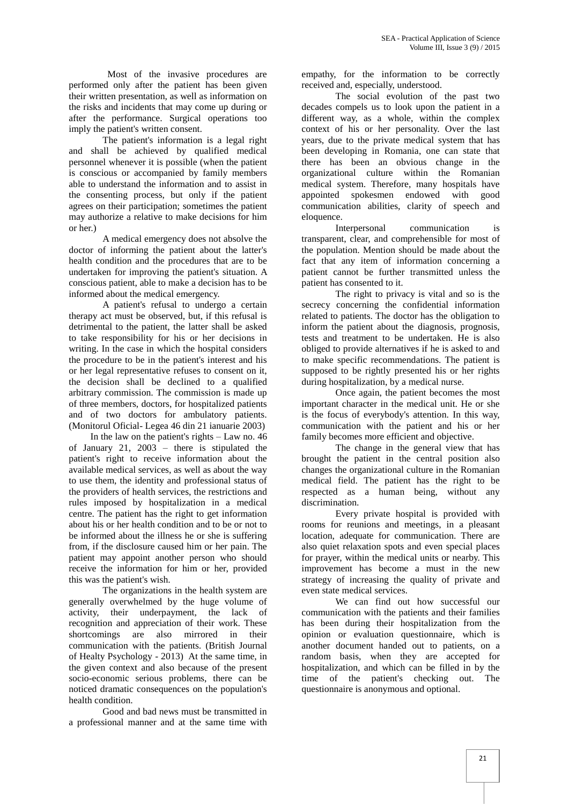Most of the invasive procedures are performed only after the patient has been given their written presentation, as well as information on the risks and incidents that may come up during or after the performance. Surgical operations too imply the patient's written consent.

The patient's information is a legal right and shall be achieved by qualified medical personnel whenever it is possible (when the patient is conscious or accompanied by family members able to understand the information and to assist in the consenting process, but only if the patient agrees on their participation; sometimes the patient may authorize a relative to make decisions for him or her.)

A medical emergency does not absolve the doctor of informing the patient about the latter's health condition and the procedures that are to be undertaken for improving the patient's situation. A conscious patient, able to make a decision has to be informed about the medical emergency.

A patient's refusal to undergo a certain therapy act must be observed, but, if this refusal is detrimental to the patient, the latter shall be asked to take responsibility for his or her decisions in writing. In the case in which the hospital considers the procedure to be in the patient's interest and his or her legal representative refuses to consent on it, the decision shall be declined to a qualified arbitrary commission. The commission is made up of three members, doctors, for hospitalized patients and of two doctors for ambulatory patients. (Monitorul Oficial- Legea 46 din 21 ianuarie 2003)

 In the law on the patient's rights – Law no. 46 of January 21, 2003 – there is stipulated the patient's right to receive information about the available medical services, as well as about the way to use them, the identity and professional status of the providers of health services, the restrictions and rules imposed by hospitalization in a medical centre. The patient has the right to get information about his or her health condition and to be or not to be informed about the illness he or she is suffering from, if the disclosure caused him or her pain. The patient may appoint another person who should receive the information for him or her, provided this was the patient's wish.

The organizations in the health system are generally overwhelmed by the huge volume of activity, their underpayment, the lack of recognition and appreciation of their work. These shortcomings are also mirrored in their communication with the patients. (British Journal of Healty Psychology - 2013) At the same time, in the given context and also because of the present socio-economic serious problems, there can be noticed dramatic consequences on the population's health condition.

Good and bad news must be transmitted in a professional manner and at the same time with

empathy, for the information to be correctly received and, especially, understood.

The social evolution of the past two decades compels us to look upon the patient in a different way, as a whole, within the complex context of his or her personality. Over the last years, due to the private medical system that has been developing in Romania, one can state that there has been an obvious change in the organizational culture within the Romanian medical system. Therefore, many hospitals have appointed spokesmen endowed with good communication abilities, clarity of speech and eloquence.

Interpersonal communication is transparent, clear, and comprehensible for most of the population. Mention should be made about the fact that any item of information concerning a patient cannot be further transmitted unless the patient has consented to it.

The right to privacy is vital and so is the secrecy concerning the confidential information related to patients. The doctor has the obligation to inform the patient about the diagnosis, prognosis, tests and treatment to be undertaken. He is also obliged to provide alternatives if he is asked to and to make specific recommendations. The patient is supposed to be rightly presented his or her rights during hospitalization, by a medical nurse.

Once again, the patient becomes the most important character in the medical unit. He or she is the focus of everybody's attention. In this way, communication with the patient and his or her family becomes more efficient and objective.

The change in the general view that has brought the patient in the central position also changes the organizational culture in the Romanian medical field. The patient has the right to be respected as a human being, without any discrimination.

Every private hospital is provided with rooms for reunions and meetings, in a pleasant location, adequate for communication. There are also quiet relaxation spots and even special places for prayer, within the medical units or nearby. This improvement has become a must in the new strategy of increasing the quality of private and even state medical services.

We can find out how successful our communication with the patients and their families has been during their hospitalization from the opinion or evaluation questionnaire, which is another document handed out to patients, on a random basis, when they are accepted for hospitalization, and which can be filled in by the time of the patient's checking out. The questionnaire is anonymous and optional.